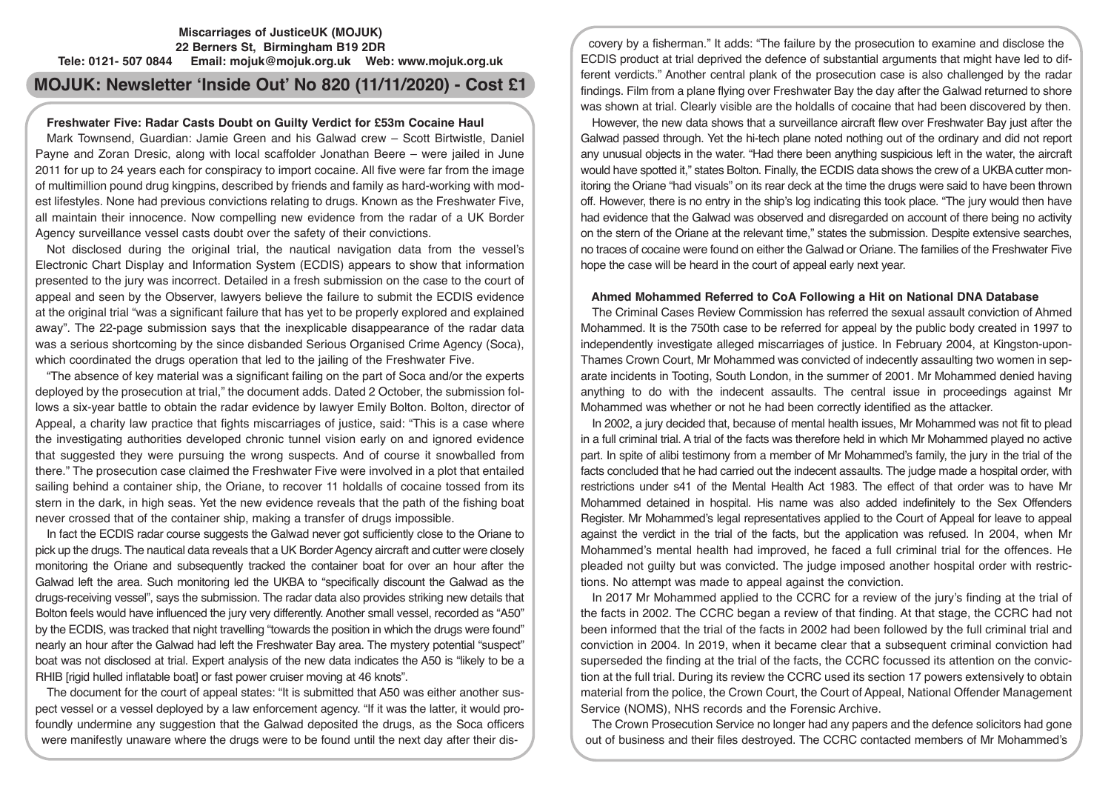# **Miscarriages of JusticeUK (MOJUK) 22 Berners St, Birmingham B19 2DR Tele: 0121- 507 0844 Email: mojuk@mojuk.org.uk Web: www.mojuk.org.uk**

# **MOJUK: Newsletter 'Inside Out' No 820 (11/11/2020) - Cost £1**

# **Freshwater Five: Radar Casts Doubt on Guilty Verdict for £53m Cocaine Haul**

Mark Townsend, Guardian: Jamie Green and his Galwad crew – Scott Birtwistle, Daniel Payne and Zoran Dresic, along with local scaffolder Jonathan Beere – were jailed in June 2011 for up to 24 years each for conspiracy to import cocaine. All five were far from the image of multimillion pound drug kingpins, described by friends and family as hard-working with modest lifestyles. None had previous convictions relating to drugs. Known as the Freshwater Five, all maintain their innocence. Now compelling new evidence from the radar of a UK Border Agency surveillance vessel casts doubt over the safety of their convictions.

Not disclosed during the original trial, the nautical navigation data from the vessel's Electronic Chart Display and Information System (ECDIS) appears to show that information presented to the jury was incorrect. Detailed in a fresh submission on the case to the court of appeal and seen by the Observer, lawyers believe the failure to submit the ECDIS evidence at the original trial "was a significant failure that has yet to be properly explored and explained away". The 22-page submission says that the inexplicable disappearance of the radar data was a serious shortcoming by the since disbanded Serious Organised Crime Agency (Soca), which coordinated the drugs operation that led to the jailing of the Freshwater Five.

"The absence of key material was a significant failing on the part of Soca and/or the experts deployed by the prosecution at trial," the document adds. Dated 2 October, the submission follows a six-year battle to obtain the radar evidence by lawyer Emily Bolton. Bolton, director of Appeal, a charity law practice that fights miscarriages of justice, said: "This is a case where the investigating authorities developed chronic tunnel vision early on and ignored evidence that suggested they were pursuing the wrong suspects. And of course it snowballed from there." The prosecution case claimed the Freshwater Five were involved in a plot that entailed sailing behind a container ship, the Oriane, to recover 11 holdalls of cocaine tossed from its stern in the dark, in high seas. Yet the new evidence reveals that the path of the fishing boat never crossed that of the container ship, making a transfer of drugs impossible.

In fact the ECDIS radar course suggests the Galwad never got sufficiently close to the Oriane to pick up the drugs. The nautical data reveals that a UK Border Agency aircraft and cutter were closely monitoring the Oriane and subsequently tracked the container boat for over an hour after the Galwad left the area. Such monitoring led the UKBA to "specifically discount the Galwad as the drugs-receiving vessel", says the submission. The radar data also provides striking new details that Bolton feels would have influenced the jury very differently. Another small vessel, recorded as "A50" by the ECDIS, was tracked that night travelling "towards the position in which the drugs were found" nearly an hour after the Galwad had left the Freshwater Bay area. The mystery potential "suspect" boat was not disclosed at trial. Expert analysis of the new data indicates the A50 is "likely to be a RHIB [rigid hulled inflatable boat] or fast power cruiser moving at 46 knots".

The document for the court of appeal states: "It is submitted that A50 was either another suspect vessel or a vessel deployed by a law enforcement agency. "If it was the latter, it would profoundly undermine any suggestion that the Galwad deposited the drugs, as the Soca officers were manifestly unaware where the drugs were to be found until the next day after their dis-

covery by a fisherman." It adds: "The failure by the prosecution to examine and disclose the ECDIS product at trial deprived the defence of substantial arguments that might have led to different verdicts." Another central plank of the prosecution case is also challenged by the radar findings. Film from a plane flying over Freshwater Bay the day after the Galwad returned to shore was shown at trial. Clearly visible are the holdalls of cocaine that had been discovered by then.

However, the new data shows that a surveillance aircraft flew over Freshwater Bay just after the Galwad passed through. Yet the hi-tech plane noted nothing out of the ordinary and did not report any unusual objects in the water. "Had there been anything suspicious left in the water, the aircraft would have spotted it," states Bolton. Finally, the ECDIS data shows the crew of a UKBA cutter monitoring the Oriane "had visuals" on its rear deck at the time the drugs were said to have been thrown off. However, there is no entry in the ship's log indicating this took place. "The jury would then have had evidence that the Galwad was observed and disregarded on account of there being no activity on the stern of the Oriane at the relevant time," states the submission. Despite extensive searches, no traces of cocaine were found on either the Galwad or Oriane. The families of the Freshwater Five hope the case will be heard in the court of appeal early next year.

## **Ahmed Mohammed Referred to CoA Following a Hit on National DNA Database**

The Criminal Cases Review Commission has referred the sexual assault conviction of Ahmed Mohammed. It is the 750th case to be referred for appeal by the public body created in 1997 to independently investigate alleged miscarriages of justice. In February 2004, at Kingston-upon-Thames Crown Court, Mr Mohammed was convicted of indecently assaulting two women in separate incidents in Tooting, South London, in the summer of 2001. Mr Mohammed denied having anything to do with the indecent assaults. The central issue in proceedings against Mr Mohammed was whether or not he had been correctly identified as the attacker.

In 2002, a jury decided that, because of mental health issues, Mr Mohammed was not fit to plead in a full criminal trial. A trial of the facts was therefore held in which Mr Mohammed played no active part. In spite of alibi testimony from a member of Mr Mohammed's family, the jury in the trial of the facts concluded that he had carried out the indecent assaults. The judge made a hospital order, with restrictions under s41 of the Mental Health Act 1983. The effect of that order was to have Mr Mohammed detained in hospital. His name was also added indefinitely to the Sex Offenders Register. Mr Mohammed's legal representatives applied to the Court of Appeal for leave to appeal against the verdict in the trial of the facts, but the application was refused. In 2004, when Mr Mohammed's mental health had improved, he faced a full criminal trial for the offences. He pleaded not guilty but was convicted. The judge imposed another hospital order with restrictions. No attempt was made to appeal against the conviction.

In 2017 Mr Mohammed applied to the CCRC for a review of the jury's finding at the trial of the facts in 2002. The CCRC began a review of that finding. At that stage, the CCRC had not been informed that the trial of the facts in 2002 had been followed by the full criminal trial and conviction in 2004. In 2019, when it became clear that a subsequent criminal conviction had superseded the finding at the trial of the facts, the CCRC focussed its attention on the conviction at the full trial. During its review the CCRC used its section 17 powers extensively to obtain material from the police, the Crown Court, the Court of Appeal, National Offender Management Service (NOMS), NHS records and the Forensic Archive.

The Crown Prosecution Service no longer had any papers and the defence solicitors had gone out of business and their files destroyed. The CCRC contacted members of Mr Mohammed's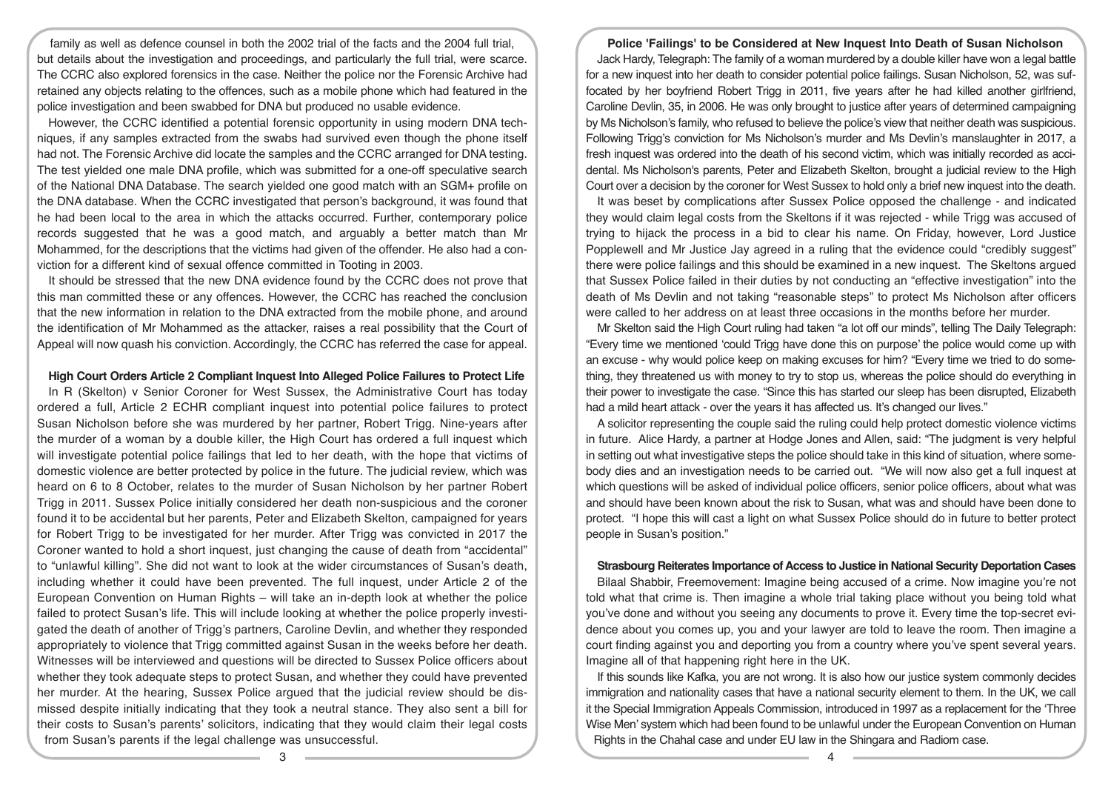family as well as defence counsel in both the 2002 trial of the facts and the 2004 full trial, but details about the investigation and proceedings, and particularly the full trial, were scarce. The CCRC also explored forensics in the case. Neither the police nor the Forensic Archive had retained any objects relating to the offences, such as a mobile phone which had featured in the police investigation and been swabbed for DNA but produced no usable evidence.

However, the CCRC identified a potential forensic opportunity in using modern DNA techniques, if any samples extracted from the swabs had survived even though the phone itself had not. The Forensic Archive did locate the samples and the CCRC arranged for DNA testing. The test yielded one male DNA profile, which was submitted for a one-off speculative search of the National DNA Database. The search yielded one good match with an SGM+ profile on the DNA database. When the CCRC investigated that person's background, it was found that he had been local to the area in which the attacks occurred. Further, contemporary police records suggested that he was a good match, and arguably a better match than Mr Mohammed, for the descriptions that the victims had given of the offender. He also had a conviction for a different kind of sexual offence committed in Tooting in 2003.

It should be stressed that the new DNA evidence found by the CCRC does not prove that this man committed these or any offences. However, the CCRC has reached the conclusion that the new information in relation to the DNA extracted from the mobile phone, and around the identification of Mr Mohammed as the attacker, raises a real possibility that the Court of Appeal will now quash his conviction. Accordingly, the CCRC has referred the case for appeal.

## **High Court Orders Article 2 Compliant Inquest Into Alleged Police Failures to Protect Life**

In R (Skelton) v Senior Coroner for West Sussex, the Administrative Court has today ordered a full, Article 2 ECHR compliant inquest into potential police failures to protect Susan Nicholson before she was murdered by her partner, Robert Trigg. Nine-years after the murder of a woman by a double killer, the High Court has ordered a full inquest which will investigate potential police failings that led to her death, with the hope that victims of domestic violence are better protected by police in the future. The judicial review, which was heard on 6 to 8 October, relates to the murder of Susan Nicholson by her partner Robert Trigg in 2011. Sussex Police initially considered her death non-suspicious and the coroner found it to be accidental but her parents, Peter and Elizabeth Skelton, campaigned for years for Robert Trigg to be investigated for her murder. After Trigg was convicted in 2017 the Coroner wanted to hold a short inquest, just changing the cause of death from "accidental" to "unlawful killing". She did not want to look at the wider circumstances of Susan's death, including whether it could have been prevented. The full inquest, under Article 2 of the European Convention on Human Rights – will take an in-depth look at whether the police failed to protect Susan's life. This will include looking at whether the police properly investigated the death of another of Trigg's partners, Caroline Devlin, and whether they responded appropriately to violence that Trigg committed against Susan in the weeks before her death. Witnesses will be interviewed and questions will be directed to Sussex Police officers about whether they took adequate steps to protect Susan, and whether they could have prevented her murder. At the hearing, Sussex Police argued that the judicial review should be dismissed despite initially indicating that they took a neutral stance. They also sent a bill for their costs to Susan's parents' solicitors, indicating that they would claim their legal costs from Susan's parents if the legal challenge was unsuccessful.

**Police 'Failings' to be Considered at New Inquest Into Death of Susan Nicholson**  Jack Hardy, Telegraph: The family of a woman murdered by a double killer have won a legal battle for a new inquest into her death to consider potential police failings. Susan Nicholson, 52, was suffocated by her boyfriend Robert Trigg in 2011, five years after he had killed another girlfriend, Caroline Devlin, 35, in 2006. He was only brought to justice after years of determined campaigning by Ms Nicholson's family, who refused to believe the police's view that neither death was suspicious. Following Trigg's conviction for Ms Nicholson's murder and Ms Devlin's manslaughter in 2017, a fresh inquest was ordered into the death of his second victim, which was initially recorded as accidental. Ms Nicholson's parents, Peter and Elizabeth Skelton, brought a judicial review to the High Court over a decision by the coroner for West Sussex to hold only a brief new inquest into the death.

It was beset by complications after Sussex Police opposed the challenge - and indicated they would claim legal costs from the Skeltons if it was rejected - while Trigg was accused of trying to hijack the process in a bid to clear his name. On Friday, however, Lord Justice Popplewell and Mr Justice Jay agreed in a ruling that the evidence could "credibly suggest" there were police failings and this should be examined in a new inquest. The Skeltons argued that Sussex Police failed in their duties by not conducting an "effective investigation" into the death of Ms Devlin and not taking "reasonable steps" to protect Ms Nicholson after officers were called to her address on at least three occasions in the months before her murder.

Mr Skelton said the High Court ruling had taken "a lot off our minds", telling The Daily Telegraph: "Every time we mentioned 'could Trigg have done this on purpose' the police would come up with an excuse - why would police keep on making excuses for him? "Every time we tried to do something, they threatened us with money to try to stop us, whereas the police should do everything in their power to investigate the case. "Since this has started our sleep has been disrupted, Elizabeth had a mild heart attack - over the years it has affected us. It's changed our lives."

A solicitor representing the couple said the ruling could help protect domestic violence victims in future. Alice Hardy, a partner at Hodge Jones and Allen, said: "The judgment is very helpful in setting out what investigative steps the police should take in this kind of situation, where somebody dies and an investigation needs to be carried out. "We will now also get a full inquest at which questions will be asked of individual police officers, senior police officers, about what was and should have been known about the risk to Susan, what was and should have been done to protect. "I hope this will cast a light on what Sussex Police should do in future to better protect people in Susan's position."

## **Strasbourg Reiterates Importance of Access to Justice in National Security Deportation Cases**

Bilaal Shabbir, Freemovement: Imagine being accused of a crime. Now imagine you're not told what that crime is. Then imagine a whole trial taking place without you being told what you've done and without you seeing any documents to prove it. Every time the top-secret evidence about you comes up, you and your lawyer are told to leave the room. Then imagine a court finding against you and deporting you from a country where you've spent several years. Imagine all of that happening right here in the UK.

If this sounds like Kafka, you are not wrong. It is also how our justice system commonly decides immigration and nationality cases that have a national security element to them. In the UK, we call it the Special Immigration Appeals Commission, introduced in 1997 as a replacement for the 'Three Wise Men' system which had been found to be unlawful under the European Convention on Human Rights in the Chahal case and under EU law in the Shingara and Radiom case.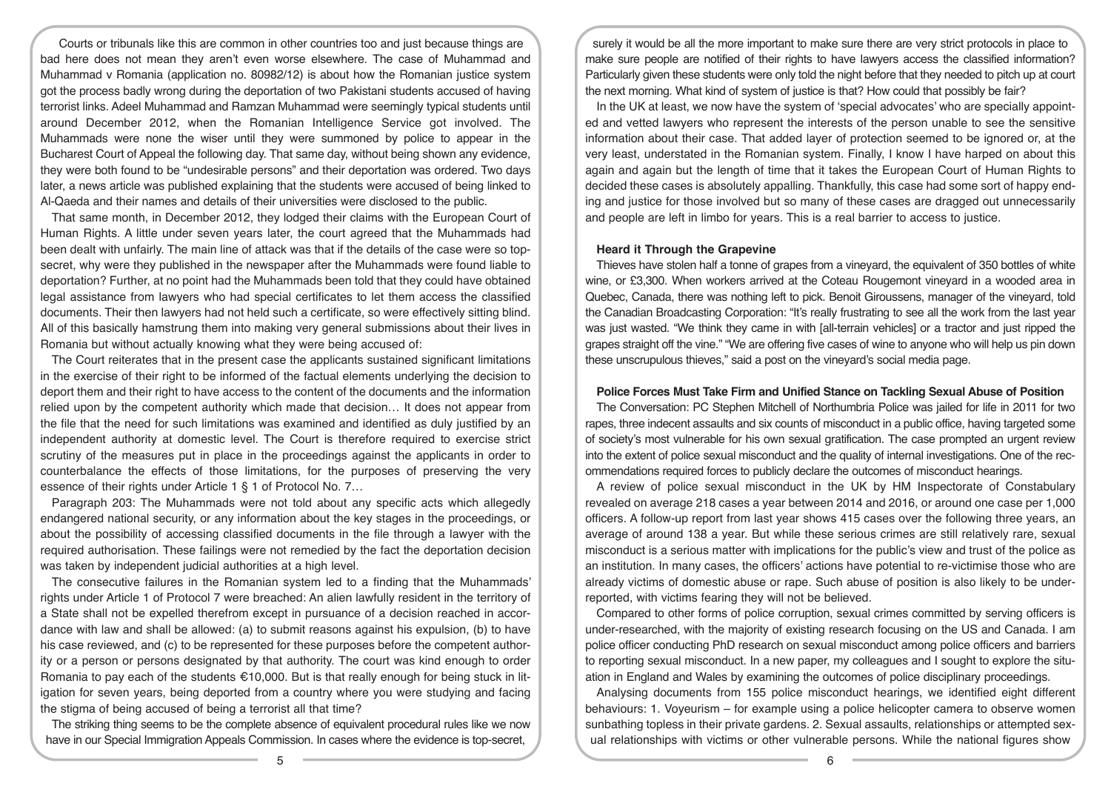Courts or tribunals like this are common in other countries too and just because things are bad here does not mean they aren't even worse elsewhere. The case of Muhammad and Muhammad v Romania (application no. 80982/12) is about how the Romanian justice system got the process badly wrong during the deportation of two Pakistani students accused of having terrorist links. Adeel Muhammad and Ramzan Muhammad were seemingly typical students until around December 2012, when the Romanian Intelligence Service got involved. The Muhammads were none the wiser until they were summoned by police to appear in the Bucharest Court of Appeal the following day. That same day, without being shown any evidence, they were both found to be "undesirable persons" and their deportation was ordered. Two days later, a news article was published explaining that the students were accused of being linked to Al-Qaeda and their names and details of their universities were disclosed to the public.

That same month, in December 2012, they lodged their claims with the European Court of Human Rights. A little under seven years later, the court agreed that the Muhammads had been dealt with unfairly. The main line of attack was that if the details of the case were so topsecret, why were they published in the newspaper after the Muhammads were found liable to deportation? Further, at no point had the Muhammads been told that they could have obtained legal assistance from lawyers who had special certificates to let them access the classified documents. Their then lawyers had not held such a certificate, so were effectively sitting blind. All of this basically hamstrung them into making very general submissions about their lives in Romania but without actually knowing what they were being accused of:

The Court reiterates that in the present case the applicants sustained significant limitations in the exercise of their right to be informed of the factual elements underlying the decision to deport them and their right to have access to the content of the documents and the information relied upon by the competent authority which made that decision… It does not appear from the file that the need for such limitations was examined and identified as duly justified by an independent authority at domestic level. The Court is therefore required to exercise strict scrutiny of the measures put in place in the proceedings against the applicants in order to counterbalance the effects of those limitations, for the purposes of preserving the very essence of their rights under Article 1 § 1 of Protocol No. 7…

Paragraph 203: The Muhammads were not told about any specific acts which allegedly endangered national security, or any information about the key stages in the proceedings, or about the possibility of accessing classified documents in the file through a lawyer with the required authorisation. These failings were not remedied by the fact the deportation decision was taken by independent judicial authorities at a high level.

The consecutive failures in the Romanian system led to a finding that the Muhammads' rights under Article 1 of Protocol 7 were breached: An alien lawfully resident in the territory of a State shall not be expelled therefrom except in pursuance of a decision reached in accordance with law and shall be allowed: (a) to submit reasons against his expulsion, (b) to have his case reviewed, and (c) to be represented for these purposes before the competent authority or a person or persons designated by that authority. The court was kind enough to order Romania to pay each of the students €10,000. But is that really enough for being stuck in litigation for seven years, being deported from a country where you were studying and facing the stigma of being accused of being a terrorist all that time?

The striking thing seems to be the complete absence of equivalent procedural rules like we now have in our Special Immigration Appeals Commission. In cases where the evidence is top-secret,

surely it would be all the more important to make sure there are very strict protocols in place to make sure people are notified of their rights to have lawyers access the classified information? Particularly given these students were only told the night before that they needed to pitch up at court the next morning. What kind of system of justice is that? How could that possibly be fair?

In the UK at least, we now have the system of 'special advocates' who are specially appointed and vetted lawyers who represent the interests of the person unable to see the sensitive information about their case. That added layer of protection seemed to be ignored or, at the very least, understated in the Romanian system. Finally, I know I have harped on about this again and again but the length of time that it takes the European Court of Human Rights to decided these cases is absolutely appalling. Thankfully, this case had some sort of happy ending and justice for those involved but so many of these cases are dragged out unnecessarily and people are left in limbo for years. This is a real barrier to access to justice.

# **Heard it Through the Grapevine**

Thieves have stolen half a tonne of grapes from a vineyard, the equivalent of 350 bottles of white wine, or £3,300. When workers arrived at the Coteau Rougemont vineyard in a wooded area in Quebec, Canada, there was nothing left to pick. Benoit Giroussens, manager of the vineyard, told the Canadian Broadcasting Corporation: "It's really frustrating to see all the work from the last year was just wasted. "We think they came in with [all-terrain vehicles] or a tractor and just ripped the grapes straight off the vine." "We are offering five cases of wine to anyone who will help us pin down these unscrupulous thieves," said a post on the vineyard's social media page.

#### **Police Forces Must Take Firm and Unified Stance on Tackling Sexual Abuse of Position**

The Conversation: PC Stephen Mitchell of Northumbria Police was jailed for life in 2011 for two rapes, three indecent assaults and six counts of misconduct in a public office, having targeted some of society's most vulnerable for his own sexual gratification. The case prompted an urgent review into the extent of police sexual misconduct and the quality of internal investigations. One of the recommendations required forces to publicly declare the outcomes of misconduct hearings.

A review of police sexual misconduct in the UK by HM Inspectorate of Constabulary revealed on average 218 cases a year between 2014 and 2016, or around one case per 1,000 officers. A follow-up report from last year shows 415 cases over the following three years, an average of around 138 a year. But while these serious crimes are still relatively rare, sexual misconduct is a serious matter with implications for the public's view and trust of the police as an institution. In many cases, the officers' actions have potential to re-victimise those who are already victims of domestic abuse or rape. Such abuse of position is also likely to be underreported, with victims fearing they will not be believed.

Compared to other forms of police corruption, sexual crimes committed by serving officers is under-researched, with the majority of existing research focusing on the US and Canada. I am police officer conducting PhD research on sexual misconduct among police officers and barriers to reporting sexual misconduct. In a new paper, my colleagues and I sought to explore the situation in England and Wales by examining the outcomes of police disciplinary proceedings.

Analysing documents from 155 police misconduct hearings, we identified eight different behaviours: 1. Voyeurism – for example using a police helicopter camera to observe women sunbathing topless in their private gardens. 2. Sexual assaults, relationships or attempted sexual relationships with victims or other vulnerable persons. While the national figures show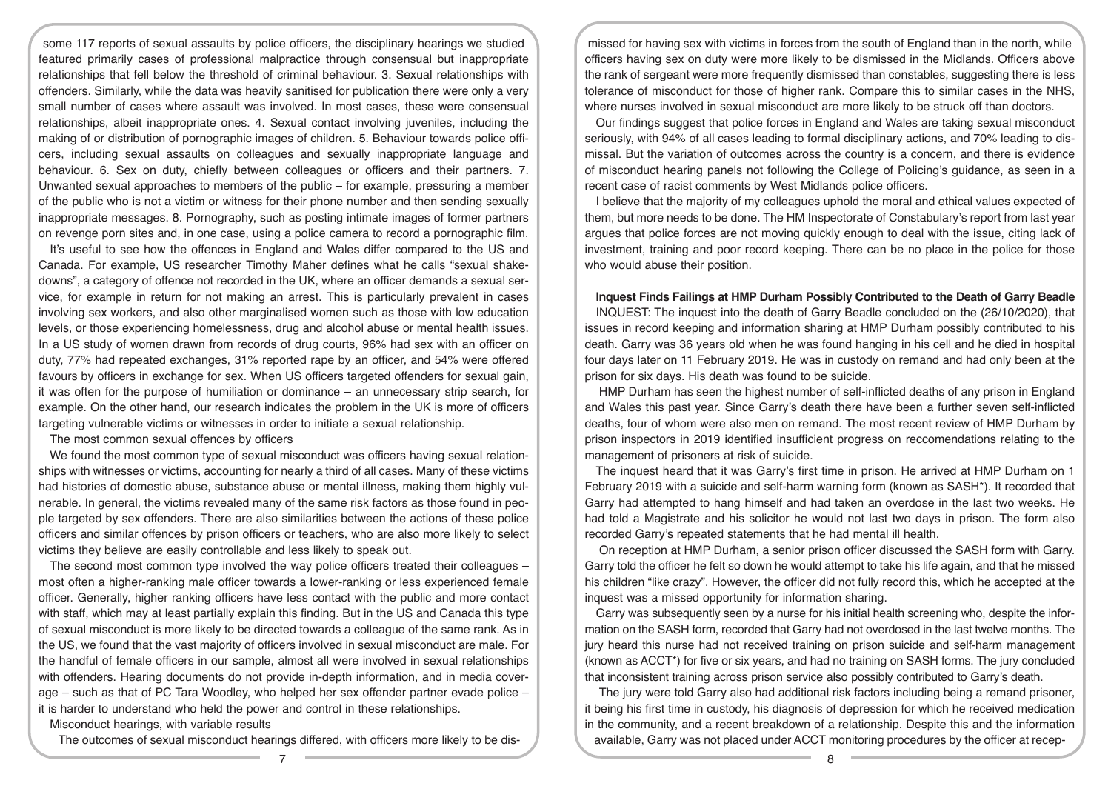some 117 reports of sexual assaults by police officers, the disciplinary hearings we studied featured primarily cases of professional malpractice through consensual but inappropriate relationships that fell below the threshold of criminal behaviour. 3. Sexual relationships with offenders. Similarly, while the data was heavily sanitised for publication there were only a very small number of cases where assault was involved. In most cases, these were consensual relationships, albeit inappropriate ones. 4. Sexual contact involving juveniles, including the making of or distribution of pornographic images of children. 5. Behaviour towards police officers, including sexual assaults on colleagues and sexually inappropriate language and behaviour. 6. Sex on duty, chiefly between colleagues or officers and their partners. 7. Unwanted sexual approaches to members of the public – for example, pressuring a member of the public who is not a victim or witness for their phone number and then sending sexually inappropriate messages. 8. Pornography, such as posting intimate images of former partners on revenge porn sites and, in one case, using a police camera to record a pornographic film.

It's useful to see how the offences in England and Wales differ compared to the US and Canada. For example, US researcher Timothy Maher defines what he calls "sexual shakedowns", a category of offence not recorded in the UK, where an officer demands a sexual service, for example in return for not making an arrest. This is particularly prevalent in cases involving sex workers, and also other marginalised women such as those with low education levels, or those experiencing homelessness, drug and alcohol abuse or mental health issues. In a US study of women drawn from records of drug courts, 96% had sex with an officer on duty, 77% had repeated exchanges, 31% reported rape by an officer, and 54% were offered favours by officers in exchange for sex. When US officers targeted offenders for sexual gain, it was often for the purpose of humiliation or dominance – an unnecessary strip search, for example. On the other hand, our research indicates the problem in the UK is more of officers targeting vulnerable victims or witnesses in order to initiate a sexual relationship.

The most common sexual offences by officers

We found the most common type of sexual misconduct was officers having sexual relationships with witnesses or victims, accounting for nearly a third of all cases. Many of these victims had histories of domestic abuse, substance abuse or mental illness, making them highly vulnerable. In general, the victims revealed many of the same risk factors as those found in people targeted by sex offenders. There are also similarities between the actions of these police officers and similar offences by prison officers or teachers, who are also more likely to select victims they believe are easily controllable and less likely to speak out.

The second most common type involved the way police officers treated their colleagues – most often a higher-ranking male officer towards a lower-ranking or less experienced female officer. Generally, higher ranking officers have less contact with the public and more contact with staff, which may at least partially explain this finding. But in the US and Canada this type of sexual misconduct is more likely to be directed towards a colleague of the same rank. As in the US, we found that the vast majority of officers involved in sexual misconduct are male. For the handful of female officers in our sample, almost all were involved in sexual relationships with offenders. Hearing documents do not provide in-depth information, and in media coverage – such as that of PC Tara Woodley, who helped her sex offender partner evade police – it is harder to understand who held the power and control in these relationships.

Misconduct hearings, with variable results

The outcomes of sexual misconduct hearings differed, with officers more likely to be dis-

missed for having sex with victims in forces from the south of England than in the north, while officers having sex on duty were more likely to be dismissed in the Midlands. Officers above the rank of sergeant were more frequently dismissed than constables, suggesting there is less tolerance of misconduct for those of higher rank. Compare this to similar cases in the NHS, where nurses involved in sexual misconduct are more likely to be struck off than doctors.

Our findings suggest that police forces in England and Wales are taking sexual misconduct seriously, with 94% of all cases leading to formal disciplinary actions, and 70% leading to dismissal. But the variation of outcomes across the country is a concern, and there is evidence of misconduct hearing panels not following the College of Policing's guidance, as seen in a recent case of racist comments by West Midlands police officers.

I believe that the majority of my colleagues uphold the moral and ethical values expected of them, but more needs to be done. The HM Inspectorate of Constabulary's report from last year argues that police forces are not moving quickly enough to deal with the issue, citing lack of investment, training and poor record keeping. There can be no place in the police for those who would abuse their position.

#### **Inquest Finds Failings at HMP Durham Possibly Contributed to the Death of Garry Beadle**

INQUEST: The inquest into the death of Garry Beadle concluded on the (26/10/2020), that issues in record keeping and information sharing at HMP Durham possibly contributed to his death. Garry was 36 years old when he was found hanging in his cell and he died in hospital four days later on 11 February 2019. He was in custody on remand and had only been at the prison for six days. His death was found to be suicide.

 HMP Durham has seen the highest number of self-inflicted deaths of any prison in England and Wales this past year. Since Garry's death there have been a further seven self-inflicted deaths, four of whom were also men on remand. The most recent review of HMP Durham by prison inspectors in 2019 identified insufficient progress on reccomendations relating to the management of prisoners at risk of suicide.

The inquest heard that it was Garry's first time in prison. He arrived at HMP Durham on 1 February 2019 with a suicide and self-harm warning form (known as SASH\*). It recorded that Garry had attempted to hang himself and had taken an overdose in the last two weeks. He had told a Magistrate and his solicitor he would not last two days in prison. The form also recorded Garry's repeated statements that he had mental ill health.

 On reception at HMP Durham, a senior prison officer discussed the SASH form with Garry. Garry told the officer he felt so down he would attempt to take his life again, and that he missed his children "like crazy". However, the officer did not fully record this, which he accepted at the inquest was a missed opportunity for information sharing.

Garry was subsequently seen by a nurse for his initial health screening who, despite the information on the SASH form, recorded that Garry had not overdosed in the last twelve months. The jury heard this nurse had not received training on prison suicide and self-harm management (known as ACCT\*) for five or six years, and had no training on SASH forms. The jury concluded that inconsistent training across prison service also possibly contributed to Garry's death.

 The jury were told Garry also had additional risk factors including being a remand prisoner, it being his first time in custody, his diagnosis of depression for which he received medication in the community, and a recent breakdown of a relationship. Despite this and the information available, Garry was not placed under ACCT monitoring procedures by the officer at recep-

7 8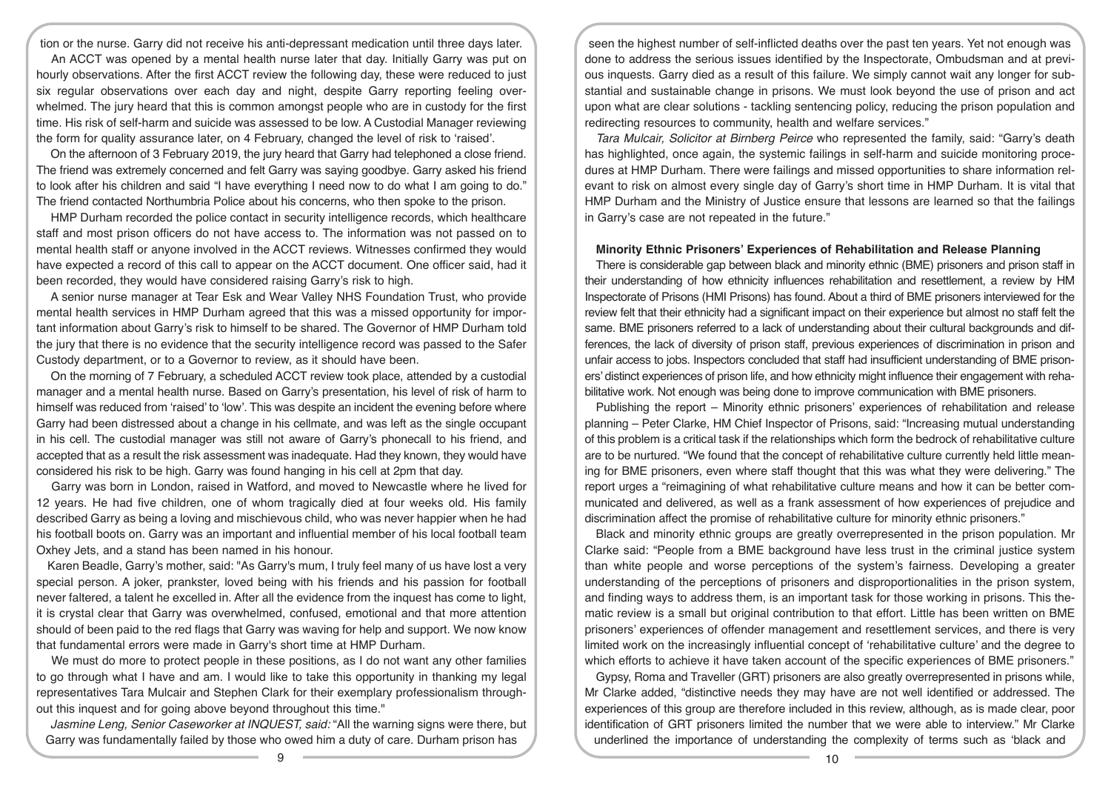tion or the nurse. Garry did not receive his anti-depressant medication until three days later.

 An ACCT was opened by a mental health nurse later that day. Initially Garry was put on hourly observations. After the first ACCT review the following day, these were reduced to just six regular observations over each day and night, despite Garry reporting feeling overwhelmed. The jury heard that this is common amongst people who are in custody for the first time. His risk of self-harm and suicide was assessed to be low. A Custodial Manager reviewing the form for quality assurance later, on 4 February, changed the level of risk to 'raised'.

 On the afternoon of 3 February 2019, the jury heard that Garry had telephoned a close friend. The friend was extremely concerned and felt Garry was saying goodbye. Garry asked his friend to look after his children and said "I have everything I need now to do what I am going to do." The friend contacted Northumbria Police about his concerns, who then spoke to the prison.

 HMP Durham recorded the police contact in security intelligence records, which healthcare staff and most prison officers do not have access to. The information was not passed on to mental health staff or anyone involved in the ACCT reviews. Witnesses confirmed they would have expected a record of this call to appear on the ACCT document. One officer said, had it been recorded, they would have considered raising Garry's risk to high.

 A senior nurse manager at Tear Esk and Wear Valley NHS Foundation Trust, who provide mental health services in HMP Durham agreed that this was a missed opportunity for important information about Garry's risk to himself to be shared. The Governor of HMP Durham told the jury that there is no evidence that the security intelligence record was passed to the Safer Custody department, or to a Governor to review, as it should have been.

 On the morning of 7 February, a scheduled ACCT review took place, attended by a custodial manager and a mental health nurse. Based on Garry's presentation, his level of risk of harm to himself was reduced from 'raised' to 'low'. This was despite an incident the evening before where Garry had been distressed about a change in his cellmate, and was left as the single occupant in his cell. The custodial manager was still not aware of Garry's phonecall to his friend, and accepted that as a result the risk assessment was inadequate. Had they known, they would have considered his risk to be high. Garry was found hanging in his cell at 2pm that day.

 Garry was born in London, raised in Watford, and moved to Newcastle where he lived for 12 years. He had five children, one of whom tragically died at four weeks old. His family described Garry as being a loving and mischievous child, who was never happier when he had his football boots on. Garry was an important and influential member of his local football team Oxhey Jets, and a stand has been named in his honour.

Karen Beadle, Garry's mother, said: "As Garry's mum, I truly feel many of us have lost a very special person. A joker, prankster, loved being with his friends and his passion for football never faltered, a talent he excelled in. After all the evidence from the inquest has come to light, it is crystal clear that Garry was overwhelmed, confused, emotional and that more attention should of been paid to the red flags that Garry was waving for help and support. We now know that fundamental errors were made in Garry's short time at HMP Durham.

We must do more to protect people in these positions, as I do not want any other families to go through what I have and am. I would like to take this opportunity in thanking my legal representatives Tara Mulcair and Stephen Clark for their exemplary professionalism throughout this inquest and for going above beyond throughout this time."

*Jasmine Leng, Senior Caseworker at INQUEST, said:* "All the warning signs were there, but Garry was fundamentally failed by those who owed him a duty of care. Durham prison has

seen the highest number of self-inflicted deaths over the past ten years. Yet not enough was done to address the serious issues identified by the Inspectorate, Ombudsman and at previous inquests. Garry died as a result of this failure. We simply cannot wait any longer for substantial and sustainable change in prisons. We must look beyond the use of prison and act upon what are clear solutions - tackling sentencing policy, reducing the prison population and redirecting resources to community, health and welfare services."

*Tara Mulcair, Solicitor at Birnberg Peirce* who represented the family, said: "Garry's death has highlighted, once again, the systemic failings in self-harm and suicide monitoring procedures at HMP Durham. There were failings and missed opportunities to share information relevant to risk on almost every single day of Garry's short time in HMP Durham. It is vital that HMP Durham and the Ministry of Justice ensure that lessons are learned so that the failings in Garry's case are not repeated in the future."

## **Minority Ethnic Prisoners' Experiences of Rehabilitation and Release Planning**

There is considerable gap between black and minority ethnic (BME) prisoners and prison staff in their understanding of how ethnicity influences rehabilitation and resettlement, a review by HM Inspectorate of Prisons (HMI Prisons) has found. About a third of BME prisoners interviewed for the review felt that their ethnicity had a significant impact on their experience but almost no staff felt the same. BME prisoners referred to a lack of understanding about their cultural backgrounds and differences, the lack of diversity of prison staff, previous experiences of discrimination in prison and unfair access to jobs. Inspectors concluded that staff had insufficient understanding of BME prisoners' distinct experiences of prison life, and how ethnicity might influence their engagement with rehabilitative work. Not enough was being done to improve communication with BME prisoners.

Publishing the report – Minority ethnic prisoners' experiences of rehabilitation and release planning – Peter Clarke, HM Chief Inspector of Prisons, said: "Increasing mutual understanding of this problem is a critical task if the relationships which form the bedrock of rehabilitative culture are to be nurtured. "We found that the concept of rehabilitative culture currently held little meaning for BME prisoners, even where staff thought that this was what they were delivering." The report urges a "reimagining of what rehabilitative culture means and how it can be better communicated and delivered, as well as a frank assessment of how experiences of prejudice and discrimination affect the promise of rehabilitative culture for minority ethnic prisoners."

Black and minority ethnic groups are greatly overrepresented in the prison population. Mr Clarke said: "People from a BME background have less trust in the criminal justice system than white people and worse perceptions of the system's fairness. Developing a greater understanding of the perceptions of prisoners and disproportionalities in the prison system, and finding ways to address them, is an important task for those working in prisons. This thematic review is a small but original contribution to that effort. Little has been written on BME prisoners' experiences of offender management and resettlement services, and there is very limited work on the increasingly influential concept of 'rehabilitative culture' and the degree to which efforts to achieve it have taken account of the specific experiences of BME prisoners."

Gypsy, Roma and Traveller (GRT) prisoners are also greatly overrepresented in prisons while, Mr Clarke added, "distinctive needs they may have are not well identified or addressed. The experiences of this group are therefore included in this review, although, as is made clear, poor identification of GRT prisoners limited the number that we were able to interview." Mr Clarke underlined the importance of understanding the complexity of terms such as 'black and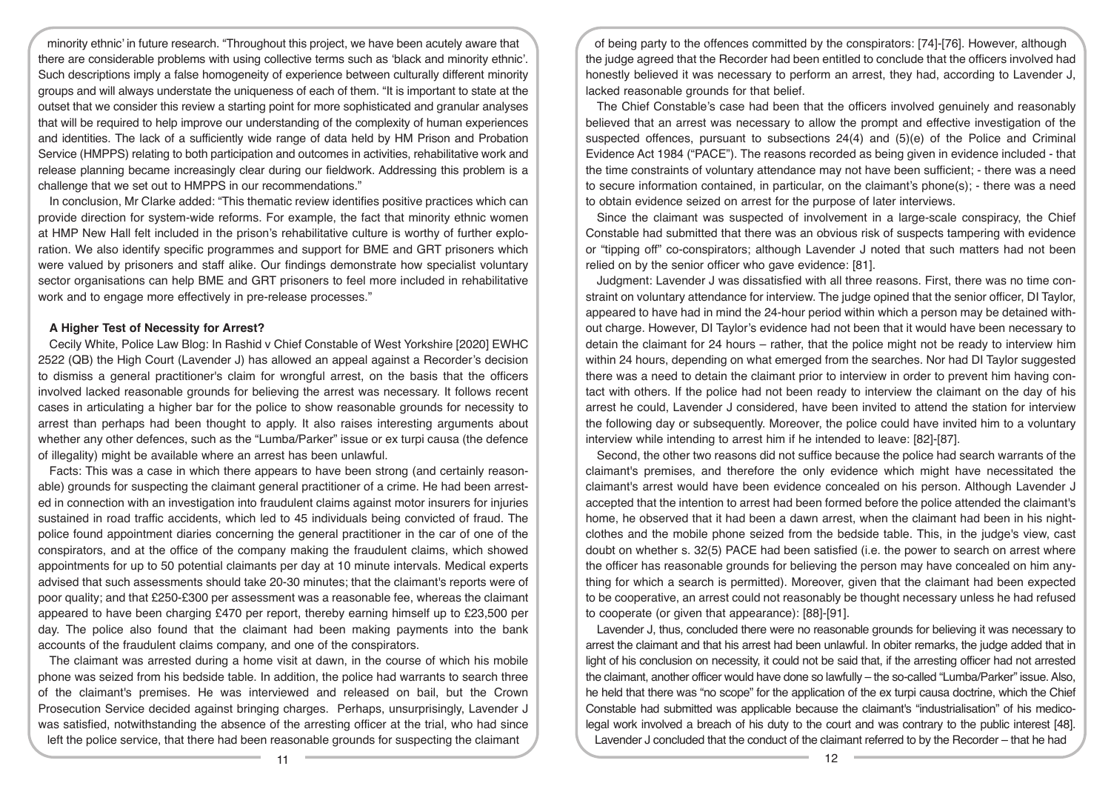minority ethnic' in future research. "Throughout this project, we have been acutely aware that there are considerable problems with using collective terms such as 'black and minority ethnic'. Such descriptions imply a false homogeneity of experience between culturally different minority groups and will always understate the uniqueness of each of them. "It is important to state at the outset that we consider this review a starting point for more sophisticated and granular analyses that will be required to help improve our understanding of the complexity of human experiences and identities. The lack of a sufficiently wide range of data held by HM Prison and Probation Service (HMPPS) relating to both participation and outcomes in activities, rehabilitative work and release planning became increasingly clear during our fieldwork. Addressing this problem is a challenge that we set out to HMPPS in our recommendations."

In conclusion, Mr Clarke added: "This thematic review identifies positive practices which can provide direction for system-wide reforms. For example, the fact that minority ethnic women at HMP New Hall felt included in the prison's rehabilitative culture is worthy of further exploration. We also identify specific programmes and support for BME and GRT prisoners which were valued by prisoners and staff alike. Our findings demonstrate how specialist voluntary sector organisations can help BME and GRT prisoners to feel more included in rehabilitative work and to engage more effectively in pre-release processes."

## **A Higher Test of Necessity for Arrest?**

Cecily White, Police Law Blog: In Rashid v Chief Constable of West Yorkshire [2020] EWHC 2522 (QB) the High Court (Lavender J) has allowed an appeal against a Recorder's decision to dismiss a general practitioner's claim for wrongful arrest, on the basis that the officers involved lacked reasonable grounds for believing the arrest was necessary. It follows recent cases in articulating a higher bar for the police to show reasonable grounds for necessity to arrest than perhaps had been thought to apply. It also raises interesting arguments about whether any other defences, such as the "Lumba/Parker" issue or ex turpi causa (the defence of illegality) might be available where an arrest has been unlawful.

Facts: This was a case in which there appears to have been strong (and certainly reasonable) grounds for suspecting the claimant general practitioner of a crime. He had been arrested in connection with an investigation into fraudulent claims against motor insurers for injuries sustained in road traffic accidents, which led to 45 individuals being convicted of fraud. The police found appointment diaries concerning the general practitioner in the car of one of the conspirators, and at the office of the company making the fraudulent claims, which showed appointments for up to 50 potential claimants per day at 10 minute intervals. Medical experts advised that such assessments should take 20-30 minutes; that the claimant's reports were of poor quality; and that £250-£300 per assessment was a reasonable fee, whereas the claimant appeared to have been charging £470 per report, thereby earning himself up to £23,500 per day. The police also found that the claimant had been making payments into the bank accounts of the fraudulent claims company, and one of the conspirators.

The claimant was arrested during a home visit at dawn, in the course of which his mobile phone was seized from his bedside table. In addition, the police had warrants to search three of the claimant's premises. He was interviewed and released on bail, but the Crown Prosecution Service decided against bringing charges. Perhaps, unsurprisingly, Lavender J was satisfied, notwithstanding the absence of the arresting officer at the trial, who had since left the police service, that there had been reasonable grounds for suspecting the claimant

of being party to the offences committed by the conspirators: [74]-[76]. However, although the judge agreed that the Recorder had been entitled to conclude that the officers involved had honestly believed it was necessary to perform an arrest, they had, according to Lavender J, lacked reasonable grounds for that belief.

The Chief Constable's case had been that the officers involved genuinely and reasonably believed that an arrest was necessary to allow the prompt and effective investigation of the suspected offences, pursuant to subsections 24(4) and (5)(e) of the Police and Criminal Evidence Act 1984 ("PACE"). The reasons recorded as being given in evidence included - that the time constraints of voluntary attendance may not have been sufficient; - there was a need to secure information contained, in particular, on the claimant's phone(s); - there was a need to obtain evidence seized on arrest for the purpose of later interviews.

Since the claimant was suspected of involvement in a large-scale conspiracy, the Chief Constable had submitted that there was an obvious risk of suspects tampering with evidence or "tipping off" co-conspirators; although Lavender J noted that such matters had not been relied on by the senior officer who gave evidence: [81].

Judgment: Lavender J was dissatisfied with all three reasons. First, there was no time constraint on voluntary attendance for interview. The judge opined that the senior officer, DI Taylor, appeared to have had in mind the 24-hour period within which a person may be detained without charge. However, DI Taylor's evidence had not been that it would have been necessary to detain the claimant for 24 hours – rather, that the police might not be ready to interview him within 24 hours, depending on what emerged from the searches. Nor had DI Taylor suggested there was a need to detain the claimant prior to interview in order to prevent him having contact with others. If the police had not been ready to interview the claimant on the day of his arrest he could, Lavender J considered, have been invited to attend the station for interview the following day or subsequently. Moreover, the police could have invited him to a voluntary interview while intending to arrest him if he intended to leave: [82]-[87].

Second, the other two reasons did not suffice because the police had search warrants of the claimant's premises, and therefore the only evidence which might have necessitated the claimant's arrest would have been evidence concealed on his person. Although Lavender J accepted that the intention to arrest had been formed before the police attended the claimant's home, he observed that it had been a dawn arrest, when the claimant had been in his nightclothes and the mobile phone seized from the bedside table. This, in the judge's view, cast doubt on whether s. 32(5) PACE had been satisfied (i.e. the power to search on arrest where the officer has reasonable grounds for believing the person may have concealed on him anything for which a search is permitted). Moreover, given that the claimant had been expected to be cooperative, an arrest could not reasonably be thought necessary unless he had refused to cooperate (or given that appearance): [88]-[91].

Lavender J, thus, concluded there were no reasonable grounds for believing it was necessary to arrest the claimant and that his arrest had been unlawful. In obiter remarks, the judge added that in light of his conclusion on necessity, it could not be said that, if the arresting officer had not arrested the claimant, another officer would have done so lawfully – the so-called "Lumba/Parker" issue. Also, he held that there was "no scope" for the application of the ex turpi causa doctrine, which the Chief Constable had submitted was applicable because the claimant's "industrialisation" of his medicolegal work involved a breach of his duty to the court and was contrary to the public interest [48]. Lavender J concluded that the conduct of the claimant referred to by the Recorder – that he had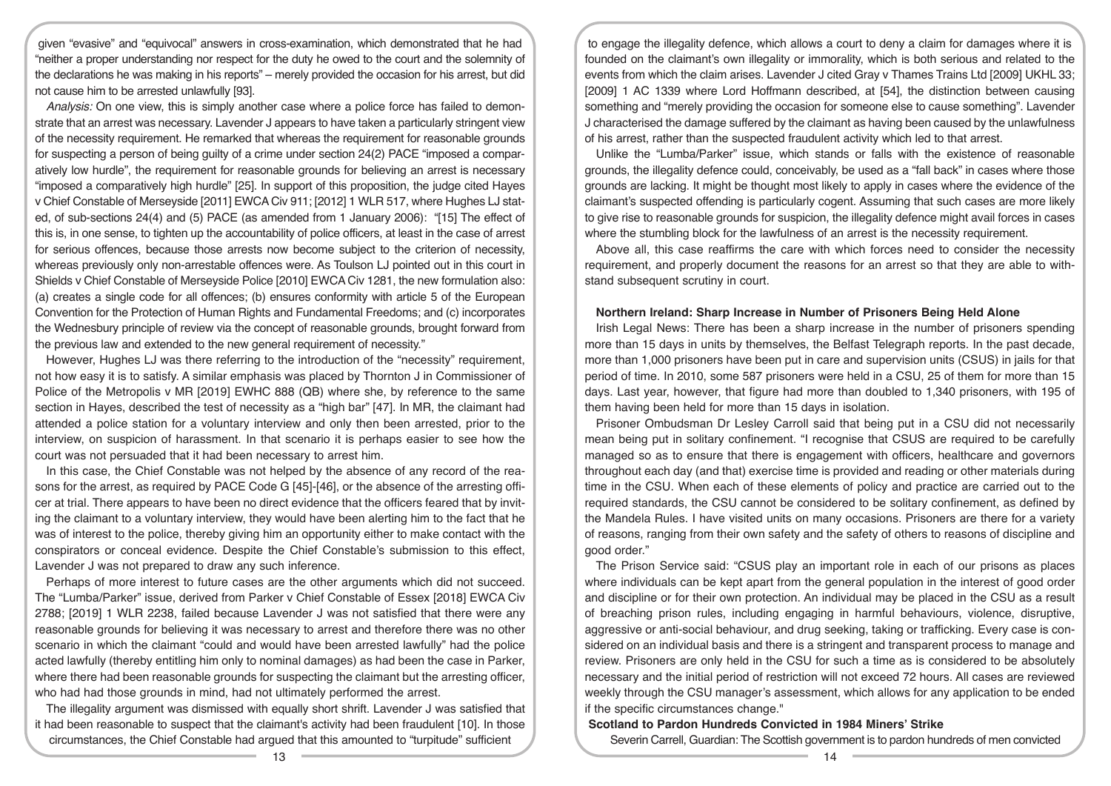given "evasive" and "equivocal" answers in cross-examination, which demonstrated that he had "neither a proper understanding nor respect for the duty he owed to the court and the solemnity of the declarations he was making in his reports" – merely provided the occasion for his arrest, but did not cause him to be arrested unlawfully [93].

*Analysis:* On one view, this is simply another case where a police force has failed to demonstrate that an arrest was necessary. Lavender J appears to have taken a particularly stringent view of the necessity requirement. He remarked that whereas the requirement for reasonable grounds for suspecting a person of being guilty of a crime under section 24(2) PACE "imposed a comparatively low hurdle", the requirement for reasonable grounds for believing an arrest is necessary "imposed a comparatively high hurdle" [25]. In support of this proposition, the judge cited Hayes v Chief Constable of Merseyside [2011] EWCA Civ 911; [2012] 1 WLR 517, where Hughes LJ stated, of sub-sections 24(4) and (5) PACE (as amended from 1 January 2006): "[15] The effect of this is, in one sense, to tighten up the accountability of police officers, at least in the case of arrest for serious offences, because those arrests now become subject to the criterion of necessity, whereas previously only non-arrestable offences were. As Toulson LJ pointed out in this court in Shields v Chief Constable of Merseyside Police [2010] EWCA Civ 1281, the new formulation also: (a) creates a single code for all offences; (b) ensures conformity with article 5 of the European Convention for the Protection of Human Rights and Fundamental Freedoms; and (c) incorporates the Wednesbury principle of review via the concept of reasonable grounds, brought forward from the previous law and extended to the new general requirement of necessity."

However, Hughes LJ was there referring to the introduction of the "necessity" requirement, not how easy it is to satisfy. A similar emphasis was placed by Thornton J in Commissioner of Police of the Metropolis v MR [2019] EWHC 888 (QB) where she, by reference to the same section in Hayes, described the test of necessity as a "high bar" [47]. In MR, the claimant had attended a police station for a voluntary interview and only then been arrested, prior to the interview, on suspicion of harassment. In that scenario it is perhaps easier to see how the court was not persuaded that it had been necessary to arrest him.

In this case, the Chief Constable was not helped by the absence of any record of the reasons for the arrest, as required by PACE Code G [45]-[46], or the absence of the arresting officer at trial. There appears to have been no direct evidence that the officers feared that by inviting the claimant to a voluntary interview, they would have been alerting him to the fact that he was of interest to the police, thereby giving him an opportunity either to make contact with the conspirators or conceal evidence. Despite the Chief Constable's submission to this effect, Lavender J was not prepared to draw any such inference.

Perhaps of more interest to future cases are the other arguments which did not succeed. The "Lumba/Parker" issue, derived from Parker v Chief Constable of Essex [2018] EWCA Civ 2788; [2019] 1 WLR 2238, failed because Lavender J was not satisfied that there were any reasonable grounds for believing it was necessary to arrest and therefore there was no other scenario in which the claimant "could and would have been arrested lawfully" had the police acted lawfully (thereby entitling him only to nominal damages) as had been the case in Parker, where there had been reasonable grounds for suspecting the claimant but the arresting officer, who had had those grounds in mind, had not ultimately performed the arrest.

The illegality argument was dismissed with equally short shrift. Lavender J was satisfied that it had been reasonable to suspect that the claimant's activity had been fraudulent [10]. In those circumstances, the Chief Constable had argued that this amounted to "turpitude" sufficient

to engage the illegality defence, which allows a court to deny a claim for damages where it is founded on the claimant's own illegality or immorality, which is both serious and related to the events from which the claim arises. Lavender J cited Gray v Thames Trains Ltd [2009] UKHL 33; [2009] 1 AC 1339 where Lord Hoffmann described, at [54], the distinction between causing something and "merely providing the occasion for someone else to cause something". Lavender J characterised the damage suffered by the claimant as having been caused by the unlawfulness of his arrest, rather than the suspected fraudulent activity which led to that arrest.

Unlike the "Lumba/Parker" issue, which stands or falls with the existence of reasonable grounds, the illegality defence could, conceivably, be used as a "fall back" in cases where those grounds are lacking. It might be thought most likely to apply in cases where the evidence of the claimant's suspected offending is particularly cogent. Assuming that such cases are more likely to give rise to reasonable grounds for suspicion, the illegality defence might avail forces in cases where the stumbling block for the lawfulness of an arrest is the necessity requirement.

Above all, this case reaffirms the care with which forces need to consider the necessity requirement, and properly document the reasons for an arrest so that they are able to withstand subsequent scrutiny in court.

## **Northern Ireland: Sharp Increase in Number of Prisoners Being Held Alone**

Irish Legal News: There has been a sharp increase in the number of prisoners spending more than 15 days in units by themselves, the Belfast Telegraph reports. In the past decade, more than 1,000 prisoners have been put in care and supervision units (CSUS) in jails for that period of time. In 2010, some 587 prisoners were held in a CSU, 25 of them for more than 15 days. Last year, however, that figure had more than doubled to 1,340 prisoners, with 195 of them having been held for more than 15 days in isolation.

Prisoner Ombudsman Dr Lesley Carroll said that being put in a CSU did not necessarily mean being put in solitary confinement. "I recognise that CSUS are required to be carefully managed so as to ensure that there is engagement with officers, healthcare and governors throughout each day (and that) exercise time is provided and reading or other materials during time in the CSU. When each of these elements of policy and practice are carried out to the required standards, the CSU cannot be considered to be solitary confinement, as defined by the Mandela Rules. I have visited units on many occasions. Prisoners are there for a variety of reasons, ranging from their own safety and the safety of others to reasons of discipline and good order."

The Prison Service said: "CSUS play an important role in each of our prisons as places where individuals can be kept apart from the general population in the interest of good order and discipline or for their own protection. An individual may be placed in the CSU as a result of breaching prison rules, including engaging in harmful behaviours, violence, disruptive, aggressive or anti-social behaviour, and drug seeking, taking or trafficking. Every case is considered on an individual basis and there is a stringent and transparent process to manage and review. Prisoners are only held in the CSU for such a time as is considered to be absolutely necessary and the initial period of restriction will not exceed 72 hours. All cases are reviewed weekly through the CSU manager's assessment, which allows for any application to be ended if the specific circumstances change."

## **Scotland to Pardon Hundreds Convicted in 1984 Miners' Strike**

Severin Carrell, Guardian: The Scottish government is to pardon hundreds of men convicted